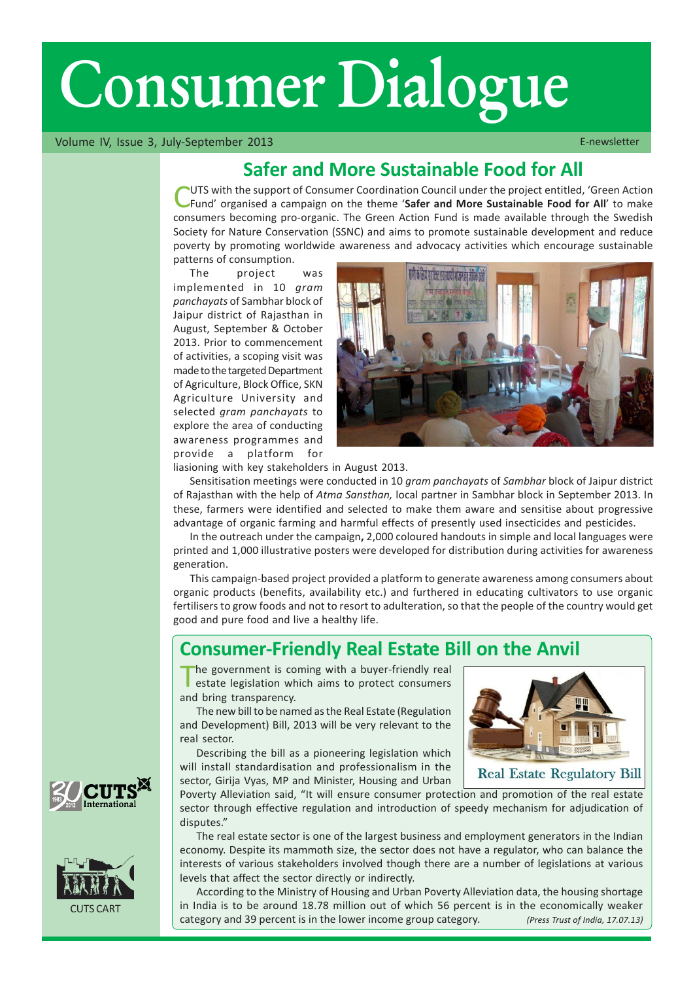# **Consumer Dialogue**

#### Volume IV, Issue 3, July-September 2013 **E-newsletter** E-newsletter

### **Safer and More Sustainable Food for All**

**CUTS** with the support of Consumer Coordination Council under the project entitled, 'Green Action' CFund' organised a campaign on the theme 'Safer and More Sustainable Food for All' to make consumers becoming pro-organic. The Green Action Fund is made available through the Swedish Society for Nature Conservation (SSNC) and aims to promote sustainable development and reduce poverty by promoting worldwide awareness and advocacy activities which encourage sustainable patterns of consumption.

The project was implemented in 10 *gram panchayats* of Sambhar block of Jaipur district of Rajasthan in August, September & October 2013. Prior to commencement of activities, a scoping visit was made to the targeted Department of Agriculture, Block Office, SKN Agriculture University and selected *gram panchayats* to explore the area of conducting awareness programmes and provide a platform for



liasioning with key stakeholders in August 2013.

Sensitisation meetings were conducted in 10 *gram panchayats* of *Sambhar* block of Jaipur district of Rajasthan with the help of *Atma Sansthan,* local partner in Sambhar block in September 2013. In these, farmers were identified and selected to make them aware and sensitise about progressive advantage of organic farming and harmful effects of presently used insecticides and pesticides.

In the outreach under the campaign**,** 2,000 coloured handouts in simple and local languages were printed and 1,000 illustrative posters were developed for distribution during activities for awareness generation.

This campaign-based project provided a platform to generate awareness among consumers about organic products (benefits, availability etc.) and furthered in educating cultivators to use organic fertilisers to grow foods and not to resort to adulteration, so that the people of the country would get good and pure food and live a healthy life.

#### **Consumer-Friendly Real Estate Bill on the Anvil**

The government is coming with a buyer-friendly real estate legislation which aims to protect consumers and bring transparency.

The new bill to be named as the Real Estate (Regulation and Development) Bill, 2013 will be very relevant to the real sector.

Describing the bill as a pioneering legislation which will install standardisation and professionalism in the sector, Girija Vyas, MP and Minister, Housing and Urban



**Real Estate Regulatory Bill** 





Poverty Alleviation said, "It will ensure consumer protection and promotion of the real estate sector through effective regulation and introduction of speedy mechanism for adjudication of disputes."

The real estate sector is one of the largest business and employment generators in the Indian economy. Despite its mammoth size, the sector does not have a regulator, who can balance the interests of various stakeholders involved though there are a number of legislations at various levels that affect the sector directly or indirectly.

According to the Ministry of Housing and Urban Poverty Alleviation data, the housing shortage in India is to be around 18.78 million out of which 56 percent is in the economically weaker category and 39 percent is in the lower income group category. *(Press Trust of India, 17.07.13)*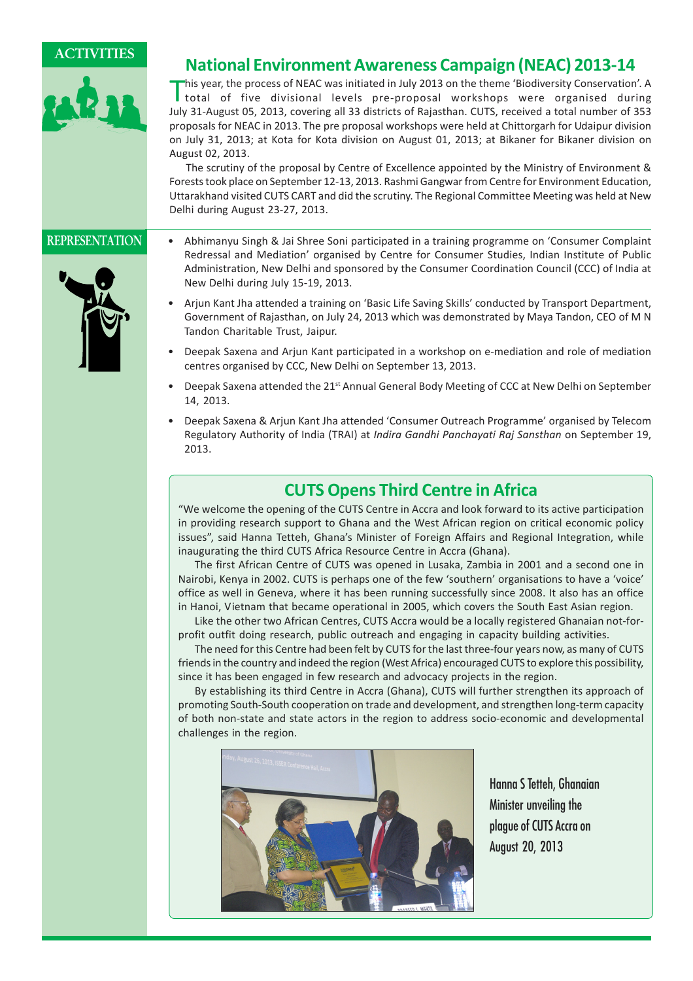

# **ATIVITIES National Environment Awareness Campaign (NEAC) 2013-14**

This year, the process of NEAC was initiated in July 2013 on the theme 'Biodiversity Conservation'. A total of five divisional levels pre-proposal workshops were organised during July 31-August 05, 2013, covering all 33 districts of Rajasthan. CUTS, received a total number of 353 proposals for NEAC in 2013. The pre proposal workshops were held at Chittorgarh for Udaipur division on July 31, 2013; at Kota for Kota division on August 01, 2013; at Bikaner for Bikaner division on August 02, 2013.

The scrutiny of the proposal by Centre of Excellence appointed by the Ministry of Environment & Forests took place on September 12-13, 2013. Rashmi Gangwar from Centre for Environment Education, Uttarakhand visited CUTS CART and did the scrutiny. The Regional Committee Meeting was held at New Delhi during August 23-27, 2013.



- **REPRESENTATION** Abhimanyu Singh & Jai Shree Soni participated in a training programme on 'Consumer Complaint' Redressal and Mediationí organised by Centre for Consumer Studies, Indian Institute of Public Administration, New Delhi and sponsored by the Consumer Coordination Council (CCC) of India at New Delhi during July 15-19, 2013.
	- Arjun Kant Jha attended a training on 'Basic Life Saving Skills' conducted by Transport Department, Government of Rajasthan, on July 24, 2013 which was demonstrated by Maya Tandon, CEO of M N Tandon Charitable Trust, Jaipur.
	- Deepak Saxena and Arjun Kant participated in a workshop on e-mediation and role of mediation centres organised by CCC, New Delhi on September 13, 2013.
	- Deepak Saxena attended the 21<sup>st</sup> Annual General Body Meeting of CCC at New Delhi on September 14, 2013.
	- Deepak Saxena & Arjun Kant Jha attended 'Consumer Outreach Programme' organised by Telecom Regulatory Authority of India (TRAI) at *Indira Gandhi Panchayati Raj Sansthan* on September 19, 2013.

#### **CUTS Opens Third Centre in Africa**

ìWe welcome the opening of the CUTS Centre in Accra and look forward to its active participation in providing research support to Ghana and the West African region on critical economic policy issues", said Hanna Tetteh, Ghana's Minister of Foreign Affairs and Regional Integration, while inaugurating the third CUTS Africa Resource Centre in Accra (Ghana).

The first African Centre of CUTS was opened in Lusaka, Zambia in 2001 and a second one in Nairobi, Kenya in 2002. CUTS is perhaps one of the few 'southern' organisations to have a 'voice' office as well in Geneva, where it has been running successfully since 2008. It also has an office in Hanoi, Vietnam that became operational in 2005, which covers the South East Asian region.

Like the other two African Centres, CUTS Accra would be a locally registered Ghanaian not-forprofit outfit doing research, public outreach and engaging in capacity building activities.

The need for this Centre had been felt by CUTS for the last three-four years now, as many of CUTS friends in the country and indeed the region (West Africa) encouraged CUTS to explore this possibility, since it has been engaged in few research and advocacy projects in the region.

By establishing its third Centre in Accra (Ghana), CUTS will further strengthen its approach of promoting South-South cooperation on trade and development, and strengthen long-term capacity of both non-state and state actors in the region to address socio-economic and developmental challenges in the region.



Hanna S Tetteh, Ghanaian Minister unveiling the plague of CUTS Accra on August 20, 2013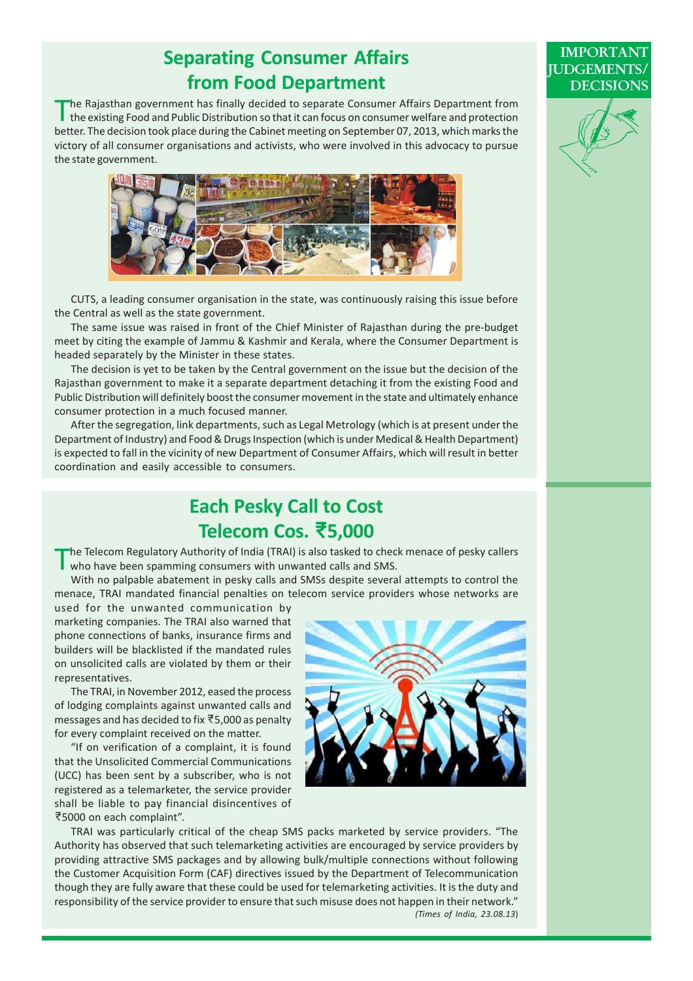## **Separating Consumer Affairs from Food Department**

The Rajasthan government has finally decided to separate Consumer Affairs Department from the existing Food and Public Distribution so that it can focus on consumer welfare and protection better. The decision took place during the Cabinet meeting on September 07, 2013, which marks the victory of all consumer organisations and activists, who were involved in this advocacy to pursue the state government.



CUTS, a leading consumer organisation in the state, was continuously raising this issue before the Central as well as the state government.

The same issue was raised in front of the Chief Minister of Rajasthan during the pre-budget meet by citing the example of Jammu & Kashmir and Kerala, where the Consumer Department is headed separately by the Minister in these states.

The decision is yet to be taken by the Central government on the issue but the decision of the Rajasthan government to make it a separate department detaching it from the existing Food and Public Distribution will definitely boost the consumer movement in the state and ultimately enhance consumer protection in a much focused manner.

After the segregation, link departments, such as Legal Metrology (which is at present under the Department of Industry) and Food & Drugs Inspection (which is under Medical & Health Department) is expected to fall in the vicinity of new Department of Consumer Affairs, which will result in better coordination and easily accessible to consumers.

# **Each Pesky Call to Cost Telecom Cos.** M**5,000**

The Telecom Regulatory Authority of India (TRAI) is also tasked to check menace of pesky callers who have been spamming consumers with unwanted calls and SMS.

With no palpable abatement in pesky calls and SMSs despite several attempts to control the menace, TRAI mandated financial penalties on telecom service providers whose networks are

used for the unwanted communication by marketing companies. The TRAI also warned that phone connections of banks, insurance firms and builders will be blacklisted if the mandated rules on unsolicited calls are violated by them or their representatives.

The TRAI, in November 2012, eased the process of lodging complaints against unwanted calls and messages and has decided to fix  $\overline{5}5,000$  as penalty for every complaint received on the matter.

"If on verification of a complaint, it is found that the Unsolicited Commercial Communications (UCC) has been sent by a subscriber, who is not registered as a telemarketer, the service provider shall be liable to pay financial disincentives of ₹5000 on each complaint".



TRAI was particularly critical of the cheap SMS packs marketed by service providers. "The Authority has observed that such telemarketing activities are encouraged by service providers by providing attractive SMS packages and by allowing bulk/multiple connections without following the Customer Acquisition Form (CAF) directives issued by the Department of Telecommunication though they are fully aware that these could be used for telemarketing activities. It is the duty and responsibility of the service provider to ensure that such misuse does not happen in their network." *(Times of India, 23.08.13*)

#### **IMPORTA IUDGEMI DECISIO**